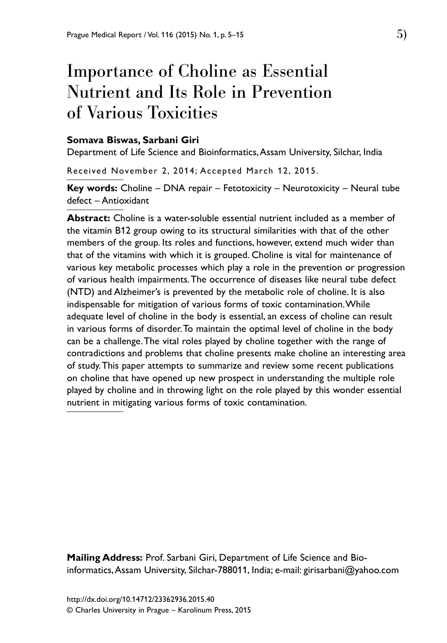# Importance of Choline as Essential Nutrient and Its Role in Prevention of Various Toxicities

#### **Somava Biswas, Sarbani Giri**

Department of Life Science and Bioinformatics, Assam University, Silchar, India

Received November 2, 2014; Accepted March 12, 2015.

**Key words:** Choline – DNA repair – Fetotoxicity – Neurotoxicity – Neural tube defect – Antioxidant

**Abstract:** Choline is a water-soluble essential nutrient included as a member of the vitamin B12 group owing to its structural similarities with that of the other members of the group. Its roles and functions, however, extend much wider than that of the vitamins with which it is grouped. Choline is vital for maintenance of various key metabolic processes which play a role in the prevention or progression of various health impairments. The occurrence of diseases like neural tube defect (NTD) and Alzheimer's is prevented by the metabolic role of choline. It is also indispensable for mitigation of various forms of toxic contamination. While adequate level of choline in the body is essential, an excess of choline can result in various forms of disorder. To maintain the optimal level of choline in the body can be a challenge. The vital roles played by choline together with the range of contradictions and problems that choline presents make choline an interesting area of study. This paper attempts to summarize and review some recent publications on choline that have opened up new prospect in understanding the multiple role played by choline and in throwing light on the role played by this wonder essential nutrient in mitigating various forms of toxic contamination.

**Mailing Address:** Prof. Sarbani Giri, Department of Life Science and Bioinformatics, Assam University, Silchar-788011, India; e-mail: girisarbani@yahoo.com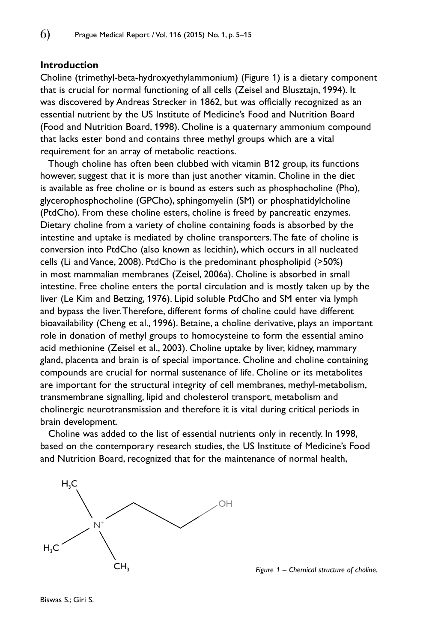#### **Introduction**

Choline (trimethyl-beta-hydroxyethylammonium) (Figure 1) is a dietary component that is crucial for normal functioning of all cells (Zeisel and Blusztajn, 1994). It was discovered by Andreas Strecker in 1862, but was officially recognized as an essential nutrient by the US Institute of Medicine's Food and Nutrition Board (Food and Nutrition Board, 1998). Choline is a quaternary ammonium compound that lacks ester bond and contains three methyl groups which are a vital requirement for an array of metabolic reactions.

Though choline has often been clubbed with vitamin B12 group, its functions however, suggest that it is more than just another vitamin. Choline in the diet is available as free choline or is bound as esters such as phosphocholine (Pho), glycerophosphocholine (GPCho), sphingomyelin (SM) or phosphatidylcholine (PtdCho). From these choline esters, choline is freed by pancreatic enzymes. Dietary choline from a variety of choline containing foods is absorbed by the intestine and uptake is mediated by choline transporters. The fate of choline is conversion into PtdCho (also known as lecithin), which occurs in all nucleated cells (Li and Vance, 2008). PtdCho is the predominant phospholipid (>50%) in most mammalian membranes (Zeisel, 2006a). Choline is absorbed in small intestine. Free choline enters the portal circulation and is mostly taken up by the liver (Le Kim and Betzing, 1976). Lipid soluble PtdCho and SM enter via lymph and bypass the liver. Therefore, different forms of choline could have different bioavailability (Cheng et al., 1996). Betaine, a choline derivative, plays an important role in donation of methyl groups to homocysteine to form the essential amino acid methionine (Zeisel et al., 2003). Choline uptake by liver, kidney, mammary gland, placenta and brain is of special importance. Choline and choline containing compounds are crucial for normal sustenance of life. Choline or its metabolites are important for the structural integrity of cell membranes, methyl-metabolism, transmembrane signalling, lipid and cholesterol transport, metabolism and cholinergic neurotransmission and therefore it is vital during critical periods in brain development.

Choline was added to the list of essential nutrients only in recently. In 1998, based on the contemporary research studies, the US Institute of Medicine's Food and Nutrition Board, recognized that for the maintenance of normal health,



Biswas S.; Giri S.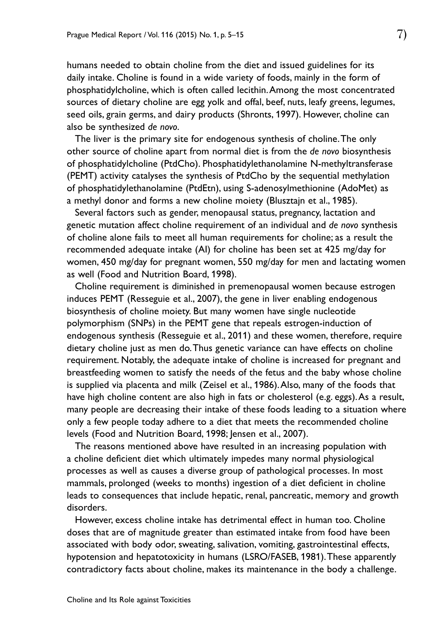humans needed to obtain choline from the diet and issued guidelines for its daily intake. Choline is found in a wide variety of foods, mainly in the form of phosphatidylcholine, which is often called lecithin. Among the most concentrated sources of dietary choline are egg yolk and offal, beef, nuts, leafy greens, legumes, seed oils, grain germs, and dairy products (Shronts, 1997). However, choline can also be synthesized *de novo*.

The liver is the primary site for endogenous synthesis of choline. The only other source of choline apart from normal diet is from the *de novo* biosynthesis of phosphatidylcholine (PtdCho). Phosphatidylethanolamine N-methyltransferase (PEMT) activity catalyses the synthesis of PtdCho by the sequential methylation of phosphatidylethanolamine (PtdEtn), using S-adenosylmethionine (AdoMet) as a methyl donor and forms a new choline moiety (Blusztajn et al., 1985).

Several factors such as gender, menopausal status, pregnancy, lactation and genetic mutation affect choline requirement of an individual and *de novo* synthesis of choline alone fails to meet all human requirements for choline; as a result the recommended adequate intake (AI) for choline has been set at 425 mg/day for women, 450 mg/day for pregnant women, 550 mg/day for men and lactating women as well (Food and Nutrition Board, 1998).

Choline requirement is diminished in premenopausal women because estrogen induces PEMT (Resseguie et al., 2007), the gene in liver enabling endogenous biosynthesis of choline moiety. But many women have single nucleotide polymorphism (SNPs) in the PEMT gene that repeals estrogen-induction of endogenous synthesis (Resseguie et al., 2011) and these women, therefore, require dietary choline just as men do. Thus genetic variance can have effects on choline requirement. Notably, the adequate intake of choline is increased for pregnant and breastfeeding women to satisfy the needs of the fetus and the baby whose choline is supplied via placenta and milk (Zeisel et al., 1986). Also, many of the foods that have high choline content are also high in fats or cholesterol (e.g. eggs). As a result, many people are decreasing their intake of these foods leading to a situation where only a few people today adhere to a diet that meets the recommended choline levels (Food and Nutrition Board, 1998; Jensen et al., 2007).

The reasons mentioned above have resulted in an increasing population with a choline deficient diet which ultimately impedes many normal physiological processes as well as causes a diverse group of pathological processes. In most mammals, prolonged (weeks to months) ingestion of a diet deficient in choline leads to consequences that include hepatic, renal, pancreatic, memory and growth disorders.

However, excess choline intake has detrimental effect in human too. Choline doses that are of magnitude greater than estimated intake from food have been associated with body odor, sweating, salivation, vomiting, gastrointestinal effects, hypotension and hepatotoxicity in humans (LSRO/FASEB, 1981). These apparently contradictory facts about choline, makes its maintenance in the body a challenge.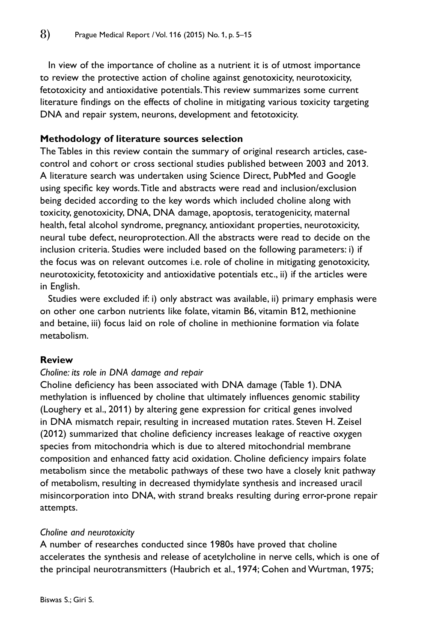In view of the importance of choline as a nutrient it is of utmost importance to review the protective action of choline against genotoxicity, neurotoxicity, fetotoxicity and antioxidative potentials. This review summarizes some current literature findings on the effects of choline in mitigating various toxicity targeting DNA and repair system, neurons, development and fetotoxicity.

## **Methodology of literature sources selection**

The Tables in this review contain the summary of original research articles, casecontrol and cohort or cross sectional studies published between 2003 and 2013. A literature search was undertaken using Science Direct, PubMed and Google using specific key words. Title and abstracts were read and inclusion/exclusion being decided according to the key words which included choline along with toxicity, genotoxicity, DNA, DNA damage, apoptosis, teratogenicity, maternal health, fetal alcohol syndrome, pregnancy, antioxidant properties, neurotoxicity, neural tube defect, neuroprotection. All the abstracts were read to decide on the inclusion criteria. Studies were included based on the following parameters: i) if the focus was on relevant outcomes i.e. role of choline in mitigating genotoxicity, neurotoxicity, fetotoxicity and antioxidative potentials etc., ii) if the articles were in English.

Studies were excluded if: i) only abstract was available, ii) primary emphasis were on other one carbon nutrients like folate, vitamin B6, vitamin B12, methionine and betaine, iii) focus laid on role of choline in methionine formation via folate metabolism.

### **Review**

#### *Choline: its role in DNA damage and repair*

Choline deficiency has been associated with DNA damage (Table 1). DNA methylation is influenced by choline that ultimately influences genomic stability (Loughery et al., 2011) by altering gene expression for critical genes involved in DNA mismatch repair, resulting in increased mutation rates. Steven H. Zeisel (2012) summarized that choline deficiency increases leakage of reactive oxygen species from mitochondria which is due to altered mitochondrial membrane composition and enhanced fatty acid oxidation. Choline deficiency impairs folate metabolism since the metabolic pathways of these two have a closely knit pathway of metabolism, resulting in decreased thymidylate synthesis and increased uracil misincorporation into DNA, with strand breaks resulting during error-prone repair attempts.

#### *Choline and neurotoxicity*

A number of researches conducted since 1980s have proved that choline accelerates the synthesis and release of acetylcholine in nerve cells, which is one of the principal neurotransmitters (Haubrich et al., 1974; Cohen and Wurtman, 1975;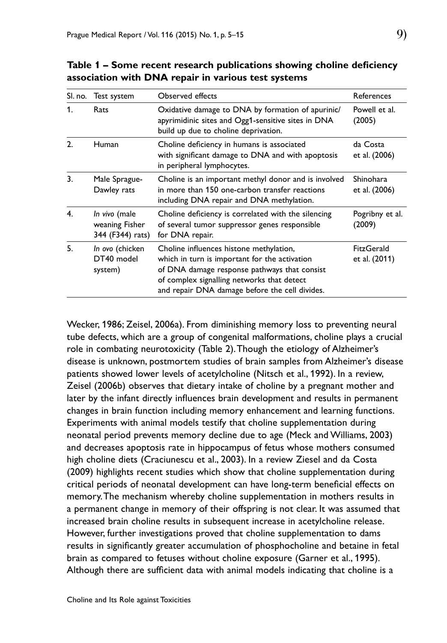|                | SI. no. Test system                                 | Observed effects                                                                                                                                                                                                                         | References                        |
|----------------|-----------------------------------------------------|------------------------------------------------------------------------------------------------------------------------------------------------------------------------------------------------------------------------------------------|-----------------------------------|
| 1.             | Rats                                                | Oxidative damage to DNA by formation of apurinic/<br>apyrimidinic sites and Ogg1-sensitive sites in DNA<br>build up due to choline deprivation.                                                                                          | Powell et al.<br>(2005)           |
| $\overline{2}$ | Human                                               | Choline deficiency in humans is associated<br>with significant damage to DNA and with apoptosis<br>in peripheral lymphocytes.                                                                                                            | da Costa<br>et al. (2006)         |
| 3.             | Male Sprague-<br>Dawley rats                        | Choline is an important methyl donor and is involved<br>in more than 150 one-carbon transfer reactions<br>including DNA repair and DNA methylation.                                                                                      | <b>Shinohara</b><br>et al. (2006) |
| 4.             | In vivo (male<br>weaning Fisher<br>344 (F344) rats) | Choline deficiency is correlated with the silencing<br>of several tumor suppressor genes responsible<br>for DNA repair.                                                                                                                  | Pogribny et al.<br>(2009)         |
| 5.             | In ovo (chicken<br>DT40 model<br>system)            | Choline influences histone methylation,<br>which in turn is important for the activation<br>of DNA damage response pathways that consist<br>of complex signalling networks that detect<br>and repair DNA damage before the cell divides. | FitzGerald<br>et al. (2011)       |

**Table 1 – Some recent research publications showing choline deficiency association with DNA repair in various test systems**

Wecker, 1986; Zeisel, 2006a). From diminishing memory loss to preventing neural tube defects, which are a group of congenital malformations, choline plays a crucial role in combating neurotoxicity (Table 2). Though the etiology of Alzheimer's disease is unknown, postmortem studies of brain samples from Alzheimer's disease patients showed lower levels of acetylcholine (Nitsch et al., 1992). In a review, Zeisel (2006b) observes that dietary intake of choline by a pregnant mother and later by the infant directly influences brain development and results in permanent changes in brain function including memory enhancement and learning functions. Experiments with animal models testify that choline supplementation during neonatal period prevents memory decline due to age (Meck and Williams, 2003) and decreases apoptosis rate in hippocampus of fetus whose mothers consumed high choline diets (Craciunescu et al., 2003). In a review Ziesel and da Costa (2009) highlights recent studies which show that choline supplementation during critical periods of neonatal development can have long-term beneficial effects on memory. The mechanism whereby choline supplementation in mothers results in a permanent change in memory of their offspring is not clear. It was assumed that increased brain choline results in subsequent increase in acetylcholine release. However, further investigations proved that choline supplementation to dams results in significantly greater accumulation of phosphocholine and betaine in fetal brain as compared to fetuses without choline exposure (Garner et al., 1995). Although there are sufficient data with animal models indicating that choline is a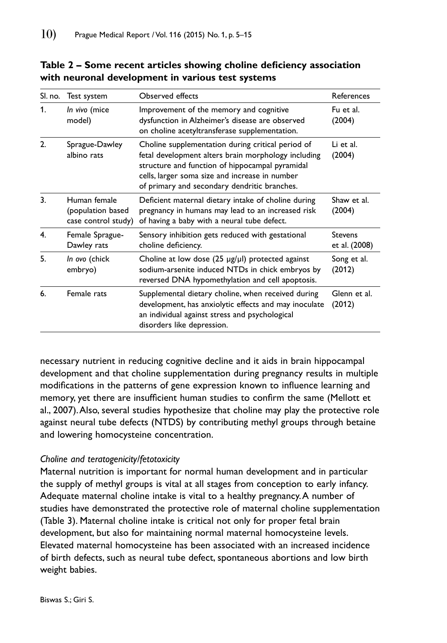| SI. no. | Test system                                              | Observed effects                                                                                                                                                                                                                                              | References                      |
|---------|----------------------------------------------------------|---------------------------------------------------------------------------------------------------------------------------------------------------------------------------------------------------------------------------------------------------------------|---------------------------------|
| 1.      | In vivo (mice<br>model)                                  | Improvement of the memory and cognitive<br>dysfunction in Alzheimer's disease are observed<br>on choline acetyltransferase supplementation.                                                                                                                   | Fu et al.<br>(2004)             |
| 2.      | Sprague-Dawley<br>albino rats                            | Choline supplementation during critical period of<br>fetal development alters brain morphology including<br>structure and function of hippocampal pyramidal<br>cells, larger soma size and increase in number<br>of primary and secondary dendritic branches. | Li et al.<br>(2004)             |
| 3.      | Human female<br>(population based<br>case control study) | Deficient maternal dietary intake of choline during<br>pregnancy in humans may lead to an increased risk<br>of having a baby with a neural tube defect.                                                                                                       | Shaw et al.<br>(2004)           |
| 4.      | Female Sprague-<br>Dawley rats                           | Sensory inhibition gets reduced with gestational<br>choline deficiency.                                                                                                                                                                                       | <b>Stevens</b><br>et al. (2008) |
| 5.      | In ovo (chick<br>embryo)                                 | Choline at low dose $(25 \mu g/\mu l)$ protected against<br>sodium-arsenite induced NTDs in chick embryos by<br>reversed DNA hypomethylation and cell apoptosis.                                                                                              | Song et al.<br>(2012)           |
| 6.      | Female rats                                              | Supplemental dietary choline, when received during<br>development, has anxiolytic effects and may inoculate<br>an individual against stress and psychological<br>disorders like depression.                                                                   | Glenn et al.<br>(2012)          |

**Table 2 – Some recent articles showing choline deficiency association with neuronal development in various test systems**

necessary nutrient in reducing cognitive decline and it aids in brain hippocampal development and that choline supplementation during pregnancy results in multiple modifications in the patterns of gene expression known to influence learning and memory, yet there are insufficient human studies to confirm the same (Mellott et al., 2007). Also, several studies hypothesize that choline may play the protective role against neural tube defects (NTDS) by contributing methyl groups through betaine and lowering homocysteine concentration.

## *Choline and teratogenicity/fetotoxicity*

Maternal nutrition is important for normal human development and in particular the supply of methyl groups is vital at all stages from conception to early infancy. Adequate maternal choline intake is vital to a healthy pregnancy. A number of studies have demonstrated the protective role of maternal choline supplementation (Table 3). Maternal choline intake is critical not only for proper fetal brain development, but also for maintaining normal maternal homocysteine levels. Elevated maternal homocysteine has been associated with an increased incidence of birth defects, such as neural tube defect, spontaneous abortions and low birth weight babies.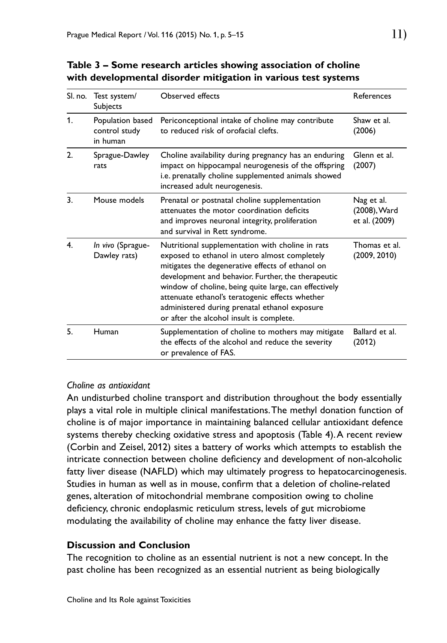| SI. no.        | Test system/<br>Subjects                      | Observed effects                                                                                                                                                                                                                                                                                                                                                                                                     | References                                  |
|----------------|-----------------------------------------------|----------------------------------------------------------------------------------------------------------------------------------------------------------------------------------------------------------------------------------------------------------------------------------------------------------------------------------------------------------------------------------------------------------------------|---------------------------------------------|
| $\mathbf{1}$ . | Population based<br>control study<br>in human | Periconceptional intake of choline may contribute<br>to reduced risk of orofacial clefts.                                                                                                                                                                                                                                                                                                                            | Shaw et al.<br>(2006)                       |
| 2.             | Sprague-Dawley<br>rats                        | Choline availability during pregnancy has an enduring<br>impact on hippocampal neurogenesis of the offspring<br>i.e. prenatally choline supplemented animals showed<br>increased adult neurogenesis.                                                                                                                                                                                                                 | Glenn et al.<br>(2007)                      |
| 3.             | Mouse models                                  | Prenatal or postnatal choline supplementation<br>attenuates the motor coordination deficits<br>and improves neuronal integrity, proliferation<br>and survival in Rett syndrome.                                                                                                                                                                                                                                      | Nag et al.<br>(2008), Ward<br>et al. (2009) |
| 4.             | In vivo (Sprague-<br>Dawley rats)             | Nutritional supplementation with choline in rats<br>exposed to ethanol in utero almost completely<br>mitigates the degenerative effects of ethanol on<br>development and behavior. Further, the therapeutic<br>window of choline, being quite large, can effectively<br>attenuate ethanol's teratogenic effects whether<br>administered during prenatal ethanol exposure<br>or after the alcohol insult is complete. | Thomas et al.<br>(2009, 2010)               |
| 5.             | Human                                         | Supplementation of choline to mothers may mitigate<br>the effects of the alcohol and reduce the severity<br>or prevalence of FAS.                                                                                                                                                                                                                                                                                    | Ballard et al.<br>(2012)                    |

**Table 3 – Some research articles showing association of choline with developmental disorder mitigation in various test systems**

## *Choline as antioxidant*

An undisturbed choline transport and distribution throughout the body essentially plays a vital role in multiple clinical manifestations. The methyl donation function of choline is of major importance in maintaining balanced cellular antioxidant defence systems thereby checking oxidative stress and apoptosis (Table 4). A recent review (Corbin and Zeisel, 2012) sites a battery of works which attempts to establish the intricate connection between choline deficiency and development of non-alcoholic fatty liver disease (NAFLD) which may ultimately progress to hepatocarcinogenesis. Studies in human as well as in mouse, confirm that a deletion of choline-related genes, alteration of mitochondrial membrane composition owing to choline deficiency, chronic endoplasmic reticulum stress, levels of gut microbiome modulating the availability of choline may enhance the fatty liver disease.

## **Discussion and Conclusion**

The recognition to choline as an essential nutrient is not a new concept. In the past choline has been recognized as an essential nutrient as being biologically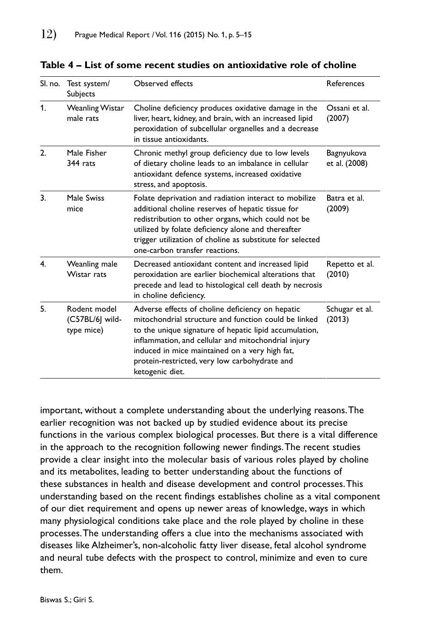| SI. no.        | Test system/<br><b>Subjects</b>               | <b>Observed effects</b>                                                                                                                                                                                                                                                                                                                         | References                  |
|----------------|-----------------------------------------------|-------------------------------------------------------------------------------------------------------------------------------------------------------------------------------------------------------------------------------------------------------------------------------------------------------------------------------------------------|-----------------------------|
| $\mathbf{1}$ . | Weanling Wistar<br>male rats                  | Choline deficiency produces oxidative damage in the<br>liver, heart, kidney, and brain, with an increased lipid<br>peroxidation of subcellular organelles and a decrease<br>in tissue antioxidants.                                                                                                                                             | Ossani et al.<br>(2007)     |
| 2.             | Male Fisher<br>344 rats                       | Chronic methyl group deficiency due to low levels<br>of dietary choline leads to an imbalance in cellular<br>antioxidant defence systems, increased oxidative<br>stress, and apoptosis.                                                                                                                                                         | Bagnyukova<br>et al. (2008) |
| 3.             | Male Swiss<br>mice                            | Folate deprivation and radiation interact to mobilize<br>additional choline reserves of hepatic tissue for<br>redistribution to other organs, which could not be<br>utilized by folate deficiency alone and thereafter<br>trigger utilization of choline as substitute for selected<br>one-carbon transfer reactions.                           | Batra et al.<br>(2009)      |
| 4.             | Weanling male<br>Wistar rats                  | Decreased antioxidant content and increased lipid<br>peroxidation are earlier biochemical alterations that<br>precede and lead to histological cell death by necrosis<br>in choline deficiency.                                                                                                                                                 | Repetto et al.<br>(2010)    |
| 5.             | Rodent model<br>(C57BL/6] wild-<br>type mice) | Adverse effects of choline deficiency on hepatic<br>mitochondrial structure and function could be linked<br>to the unique signature of hepatic lipid accumulation,<br>inflammation, and cellular and mitochondrial injury<br>induced in mice maintained on a very high fat,<br>protein-restricted, very low carbohydrate and<br>ketogenic diet. | Schugar et al.<br>(2013)    |

**Table 4 – List of some recent studies on antioxidative role of choline**

important, without a complete understanding about the underlying reasons. The earlier recognition was not backed up by studied evidence about its precise functions in the various complex biological processes. But there is a vital difference in the approach to the recognition following newer findings. The recent studies provide a clear insight into the molecular basis of various roles played by choline and its metabolites, leading to better understanding about the functions of these substances in health and disease development and control processes. This understanding based on the recent findings establishes choline as a vital component of our diet requirement and opens up newer areas of knowledge, ways in which many physiological conditions take place and the role played by choline in these processes. The understanding offers a clue into the mechanisms associated with diseases like Alzheimer's, non-alcoholic fatty liver disease, fetal alcohol syndrome and neural tube defects with the prospect to control, minimize and even to cure them.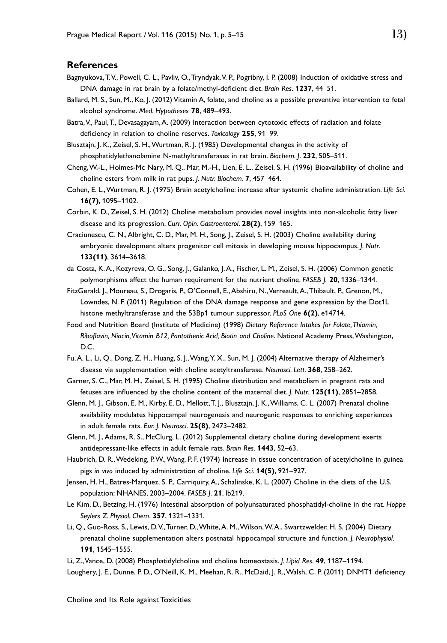#### **References**

- Bagnyukova, T. V., Powell, C. L., Pavliv, O., Tryndyak, V. P., Pogribny, I. P. (2008) Induction of oxidative stress and DNA damage in rat brain by a folate/methyl-deficient diet. *Brain Res*. **1237**, 44–51.
- Ballard, M. S., Sun, M., Ko, J. (2012) Vitamin A, folate, and choline as a possible preventive intervention to fetal alcohol syndrome. *Med. Hypotheses* **78**, 489–493.
- Batra, V., Paul, T., Devasagayam, A. (2009) Interaction between cytotoxic effects of radiation and folate deficiency in relation to choline reserves. *Toxicology* **255**, 91–99.
- Blusztajn, J. K., Zeisel, S. H., Wurtman, R. J. (1985) Developmental changes in the activity of phosphatidylethanolamine N-methyltransferases in rat brain. *Biochem. J*. **232**, 505–511.
- Cheng, W.-L., Holmes-Mc Nary, M. Q., Mar, M.-H., Lien, E. L., Zeisel, S. H. (1996) Bioavailability of choline and choline esters from milk in rat pups. *J. Nutr. Biochem*. **7**, 457–464.
- Cohen, E. L., Wurtman, R. J. (1975) Brain acetylcholine: increase after systemic choline administration. *Life Sci*. **16(7)**, 1095–1102.
- Corbin, K. D., Zeisel, S. H. (2012) Choline metabolism provides novel insights into non-alcoholic fatty liver disease and its progression. *Curr. Opin. Gastroenterol*. **28(2)**, 159–165.
- Craciunescu, C. N., Albright, C. D., Mar, M. H., Song, J., Zeisel, S. H. (2003) Choline availability during embryonic development alters progenitor cell mitosis in developing mouse hippocampus. *J. Nutr*. **133(11)**, 3614–3618.
- da Costa, K. A., Kozyreva, O. G., Song, J., Galanko, J. A., Fischer, L. M., Zeisel, S. H. (2006) Common genetic polymorphisms affect the human requirement for the nutrient choline. *FASEB J.* **20**, 1336–1344.
- FitzGerald, J., Moureau, S., Drogaris, P., O'Connell, E., Abshiru, N., Verreault, A., Thibault, P., Grenon, M., Lowndes, N. F. (2011) Regulation of the DNA damage response and gene expression by the Dot1L histone methyltransferase and the 53Bp1 tumour suppressor. *PLoS One* **6(2)**, e14714.
- Food and Nutrition Board (Institute of Medicine) (1998) *Dietary Reference Intakes for Folate, Thiamin, Riboflavin, Niacin, Vitamin B12, Pantothenic Acid, Biotin and Choline*. National Academy Press, Washington, D.C.
- Fu, A. L., Li, Q., Dong, Z. H., Huang, S. J., Wang, Y. X., Sun, M. J. (2004) Alternative therapy of Alzheimer's disease via supplementation with choline acetyltransferase. *Neurosci. Lett*. **368**, 258–262.
- Garner, S. C., Mar, M. H., Zeisel, S. H. (1995) Choline distribution and metabolism in pregnant rats and fetuses are influenced by the choline content of the maternal diet. *J. Nutr*. **125(11)**, 2851–2858.
- Glenn, M. J., Gibson, E. M., Kirby, E. D., Mellott, T. J., Blusztajn, J. K., Williams, C. L. (2007) Prenatal choline availability modulates hippocampal neurogenesis and neurogenic responses to enriching experiences in adult female rats. *Eur. J. Neurosci*. **25(8)**, 2473–2482.
- Glenn, M. J., Adams, R. S., McClurg, L. (2012) Supplemental dietary choline during development exerts antidepressant-like effects in adult female rats. *Brain Res*. **1443**, 52–63.
- Haubrich, D. R., Wedeking, P. W., Wang, P. F. (1974) Increase in tissue concentration of acetylcholine in guinea pigs *in vivo* induced by administration of choline. *Life Sci*. **14(5)**, 921–927.
- Jensen, H. H., Batres-Marquez, S. P., Carriquiry, A., Schalinske, K. L. (2007) Choline in the diets of the U.S. population: NHANES, 2003–2004. *FASEB J*. **21**, lb219.
- Le Kim, D., Betzing, H. (1976) Intestinal absorption of polyunsaturated phosphatidyl-choline in the rat. *Hoppe Seylers Z. Physiol. Chem*. **357**, 1321–1331.
- Li, Q., Guo-Ross, S., Lewis, D. V., Turner, D., White, A. M., Wilson, W. A., Swartzwelder, H. S. (2004) Dietary prenatal choline supplementation alters postnatal hippocampal structure and function. *J. Neurophysiol*. **191**, 1545–1555.

Li, Z., Vance, D. (2008) Phosphatidylcholine and choline homeostasis. *J. Lipid Res*. **49**, 1187–1194.

Loughery, J. E., Dunne, P. D., O'Neill, K. M., Meehan, R. R., McDaid, J. R., Walsh, C. P. (2011) DNMT1 deficiency

Choline and Its Role against Toxicities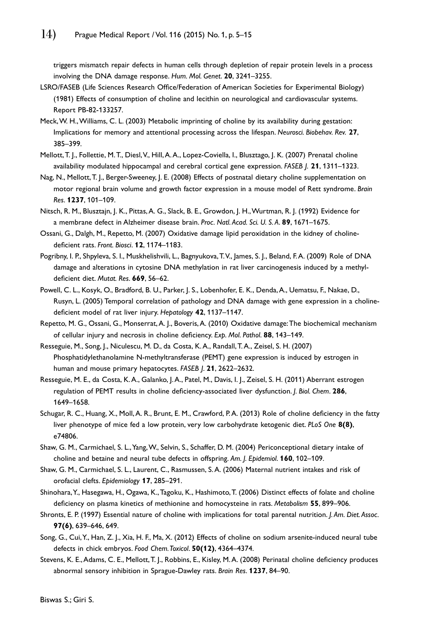triggers mismatch repair defects in human cells through depletion of repair protein levels in a process involving the DNA damage response. *Hum. Mol. Genet*. **20**, 3241–3255.

- LSRO/FASEB (Life Sciences Research Office/Federation of American Societies for Experimental Biology) (1981) Effects of consumption of choline and lecithin on neurological and cardiovascular systems. Report PB-82-133257.
- Meck, W. H., Williams, C. L. (2003) Metabolic imprinting of choline by its availability during gestation: Implications for memory and attentional processing across the lifespan. *Neurosci. Biobehav. Rev.* **27**, 385–399.
- Mellott, T. J., Follettie, M. T., Diesl, V., Hill, A. A., Lopez-Coviella, I., Blusztago, J. K. (2007) Prenatal choline availability modulated hippocampal and cerebral cortical gene expression. *FASEB J.* **21**, 1311–1323.
- Nag, N., Mellott, T. J., Berger-Sweeney, J. E. (2008) Effects of postnatal dietary choline supplementation on motor regional brain volume and growth factor expression in a mouse model of Rett syndrome. *Brain Res*. **1237**, 101–109.
- Nitsch, R. M., Blusztajn, J. K., Pittas, A. G., Slack, B. E., Growdon, J. H., Wurtman, R. J. (1992) Evidence for a membrane defect in Alzheimer disease brain. *Proc. Natl. Acad. Sci. U. S. A*. **89**, 1671–1675.
- Ossani, G., Dalgh, M., Repetto, M. (2007) Oxidative damage lipid peroxidation in the kidney of cholinedeficient rats. *Front. Biosci*. **12**, 1174–1183.
- Pogribny, I. P., Shpyleva, S. I., Muskhelishvili, L., Bagnyukova, T.V., James, S. J., Beland, F.A. (2009) Role of DNA damage and alterations in cytosine DNA methylation in rat liver carcinogenesis induced by a methyldeficient diet. *Mutat. Res*. **669**, 56–62.
- Powell, C. L., Kosyk, O., Bradford, B. U., Parker, J. S., Lobenhofer, E. K., Denda, A., Uematsu, F., Nakae, D., Rusyn, L. (2005) Temporal correlation of pathology and DNA damage with gene expression in a cholinedeficient model of rat liver injury. *Hepatology* **42**, 1137–1147.
- Repetto, M. G., Ossani, G., Monserrat, A. J., Boveris, A. (2010) Oxidative damage: The biochemical mechanism of cellular injury and necrosis in choline deficiency. *Exp. Mol. Pathol*. **88**, 143–149.
- Resseguie, M., Song, J., Niculescu, M. D., da Costa, K. A., Randall, T. A., Zeisel, S. H. (2007) Phosphatidylethanolamine N-methyltransferase (PEMT) gene expression is induced by estrogen in human and mouse primary hepatocytes. *FASEB J*. **21**, 2622–2632.
- Resseguie, M. E., da Costa, K. A., Galanko, J. A., Patel, M., Davis, I. J., Zeisel, S. H. (2011) Aberrant estrogen regulation of PEMT results in choline deficiency-associated liver dysfunction. *J. Biol. Chem*. **286**, 1649–1658.
- Schugar, R. C., Huang, X., Moll, A. R., Brunt, E. M., Crawford, P. A. (2013) Role of choline deficiency in the fatty liver phenotype of mice fed a low protein, very low carbohydrate ketogenic diet. *PLoS One* **8(8)**, e74806.
- Shaw, G. M., Carmichael, S. L., Yang, W., Selvin, S., Schaffer, D. M. (2004) Periconceptional dietary intake of choline and betaine and neural tube defects in offspring. *Am. J. Epidemiol*. **160**, 102–109.
- Shaw, G. M., Carmichael, S. L., Laurent, C., Rasmussen, S. A. (2006) Maternal nutrient intakes and risk of orofacial clefts. *Epidemiology* **17**, 285–291.
- Shinohara, Y., Hasegawa, H., Ogawa, K., Tagoku, K., Hashimoto, T. (2006) Distinct effects of folate and choline deficiency on plasma kinetics of methionine and homocysteine in rats. *Metabolism* **55**, 899–906.
- Shronts, E. P. (1997) Essential nature of choline with implications for total parental nutrition. *J. Am. Diet. Assoc.* **97(6)**, 639–646, 649.
- Song, G., Cui, Y., Han, Z. J., Xia, H. F., Ma, X. (2012) Effects of choline on sodium arsenite-induced neural tube defects in chick embryos. *Food Chem. Toxicol*. **50(12)**, 4364–4374.
- Stevens, K. E., Adams, C. E., Mellott, T. J., Robbins, E., Kisley, M. A. (2008) Perinatal choline deficiency produces abnormal sensory inhibition in Sprague-Dawley rats. *Brain Res*. **1237**, 84–90.

Biswas S.; Giri S.